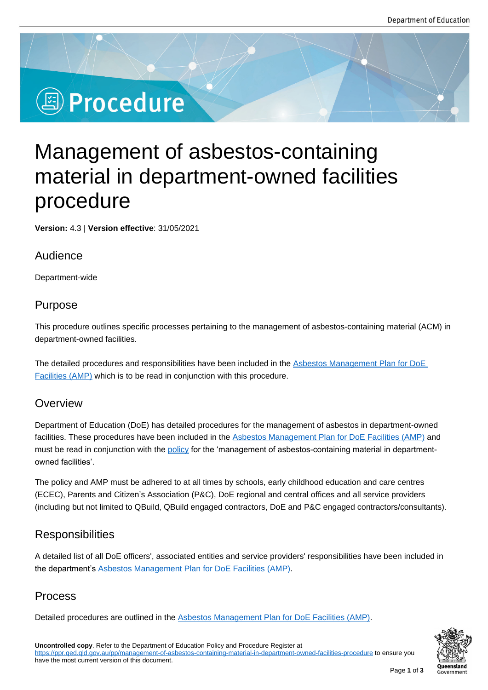# **图 Procedure**

# Management of asbestos-containing material in department-owned facilities procedure

**Version:** 4.3 | **Version effective**: 31/05/2021

#### Audience

Department-wide

## Purpose

This procedure outlines specific processes pertaining to the management of asbestos-containing material (ACM) in department-owned facilities.

The detailed procedures and responsibilities have been included in the Asbestos Management Plan for DoE Facilities (AMP) which is to be read in conjunction with this procedure.

#### **Overview**

[Department of E](https://education.qld.gov.au/about/Documents/asbestos-management-plan-doe-facilities.doc)ducation (DoE) has detailed procedures for the management of asbestos in department-owned facilities. These procedures have been included in the Asbestos Management Plan for DoE Facilities (AMP) and must be read in conjunction with the policy for the 'management of asbestos-containing material in departmentowned facilities'.

The policy and AMP must be adhered to at all times b[y schools, early childhood education and care centres](https://education.qld.gov.au/about/Documents/asbestos-management-plan-doe-facilities.doc)  (ECEC), Parents and Citizen's Asso[ciation](https://education.qld.gov.au/about-us/reporting-data-research/reporting/asbestos-management/policy-and-procedures/policy) (P&C), DoE regional and central offices and all service providers (including but not limited to QBuild, QBuild engaged contractors, DoE and P&C engaged contractors/consultants).

# **Responsibilities**

A detailed list of all DoE officers', associated entities and service providers' responsibilities have been included in the department's Asbestos Management Plan for DoE Facilities (AMP).

## Process

Detailed procedu[res are outlined in the Asbestos Management Plan for](https://education.qld.gov.au/about/Documents/asbestos-management-plan-doe-facilities.doc) DoE Facilities (AMP).

**Oueensland**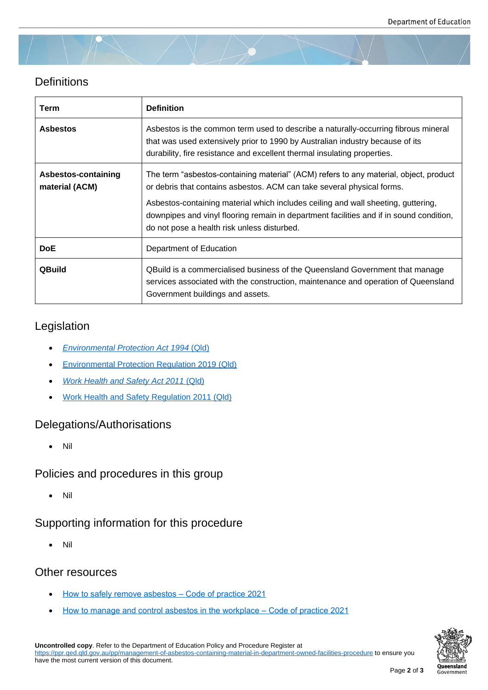## **Definitions**

| Term                                  | <b>Definition</b>                                                                                                                                                                                                                                                                                                                                                                              |
|---------------------------------------|------------------------------------------------------------------------------------------------------------------------------------------------------------------------------------------------------------------------------------------------------------------------------------------------------------------------------------------------------------------------------------------------|
| <b>Asbestos</b>                       | Asbestos is the common term used to describe a naturally-occurring fibrous mineral<br>that was used extensively prior to 1990 by Australian industry because of its<br>durability, fire resistance and excellent thermal insulating properties.                                                                                                                                                |
| Asbestos-containing<br>material (ACM) | The term "asbestos-containing material" (ACM) refers to any material, object, product<br>or debris that contains asbestos. ACM can take several physical forms.<br>Asbestos-containing material which includes ceiling and wall sheeting, guttering,<br>downpipes and vinyl flooring remain in department facilities and if in sound condition,<br>do not pose a health risk unless disturbed. |
| <b>DoE</b>                            | Department of Education                                                                                                                                                                                                                                                                                                                                                                        |
| <b>QBuild</b>                         | QBuild is a commercialised business of the Queensland Government that manage<br>services associated with the construction, maintenance and operation of Queensland<br>Government buildings and assets.                                                                                                                                                                                         |

## Legislation

- *Environmental Protection Act 1994* (Qld)
- **Environmental Protection Regulation 2019 (Qld)**
- *[Work Health and Safety Act 2011](https://www.legislation.qld.gov.au/view/html/inforce/current/act-1994-062)* ([Qld\)](https://www.legislation.qld.gov.au/view/html/inforce/current/act-1994-062)
- [Work Health and Safety Regulation 2011 \(Qld\)](https://www.legislation.qld.gov.au/view/html/inforce/current/sl-2019-0155)

#### Dele[gations/Authorisations](https://www.legislation.qld.gov.au/view/html/inforce/current/act-2011-018)

[Nil](https://www.legislation.qld.gov.au/view/html/inforce/current/sl-2011-0240)

Policies and procedures in this group

Nil

## Supporting information for this procedure

Nil

## Other resources

- How to safely remove asbestos Code of practice 2021
- How to manage and control asbestos in the workplace Code of practice 2021



**Uncontrolled copy**. Refer to the Department of Education Policy and Procedure Register at https://pp[r.qed.qld.gov.au/pp/management-of-asbestos-containing-material-in-department-owned-facilities-pr](https://www.worksafe.qld.gov.au/__data/assets/pdf_file/0021/72633/how-to-manage-control-asbestos-in-the-workplace-cop-2021.pdf)ocedure to ensure you